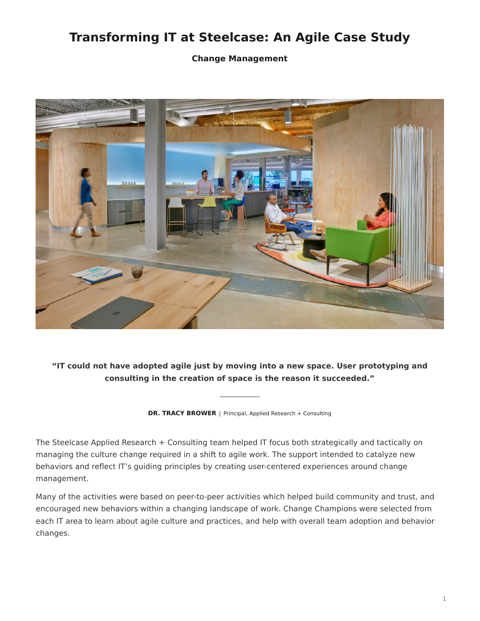# **Transforming IT at Steelcase: An Agile Case Study**

**Change Management**



**"IT could not have adopted agile just by moving into a new space. User prototyping and consulting in the creation of space is the reason it succeeded."**

**DR. TRACY BROWER** | Principal, Applied Research + Consulting

The Steelcase Applied Research + Consulting team helped IT focus both strategically and tactically on managing the culture change required in a shift to agile work. The support intended to catalyze new behaviors and reflect IT's guiding principles by creating user-centered experiences around change management.

Many of the activities were based on peer-to-peer activities which helped build community and trust, and encouraged new behaviors within a changing landscape of work. Change Champions were selected from each IT area to learn about agile culture and practices, and help with overall team adoption and behavior changes.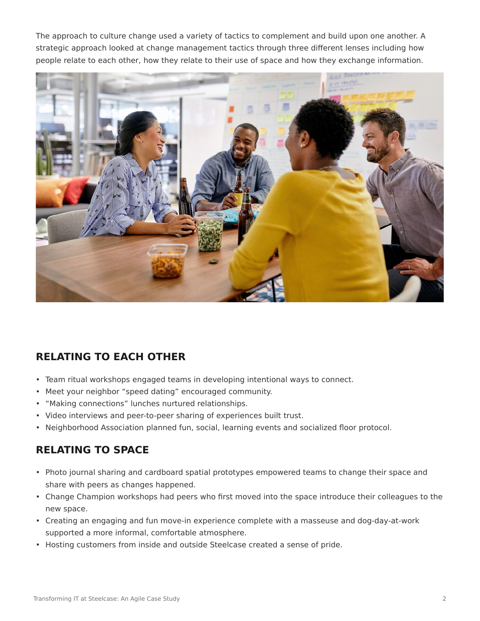The approach to culture change used a variety of tactics to complement and build upon one another. A strategic approach looked at change management tactics through three different lenses including how people relate to each other, how they relate to their use of space and how they exchange information.



## **RELATING TO EACH OTHER**

- Team ritual workshops engaged teams in developing intentional ways to connect.
- Meet your neighbor "speed dating" encouraged community.
- "Making connections" lunches nurtured relationships.
- Video interviews and peer-to-peer sharing of experiences built trust.
- Neighborhood Association planned fun, social, learning events and socialized floor protocol.

### **RELATING TO SPACE**

- Photo journal sharing and cardboard spatial prototypes empowered teams to change their space and share with peers as changes happened.
- Change Champion workshops had peers who first moved into the space introduce their colleagues to the new space.
- Creating an engaging and fun move-in experience complete with a masseuse and dog-day-at-work supported a more informal, comfortable atmosphere.
- Hosting customers from inside and outside Steelcase created a sense of pride.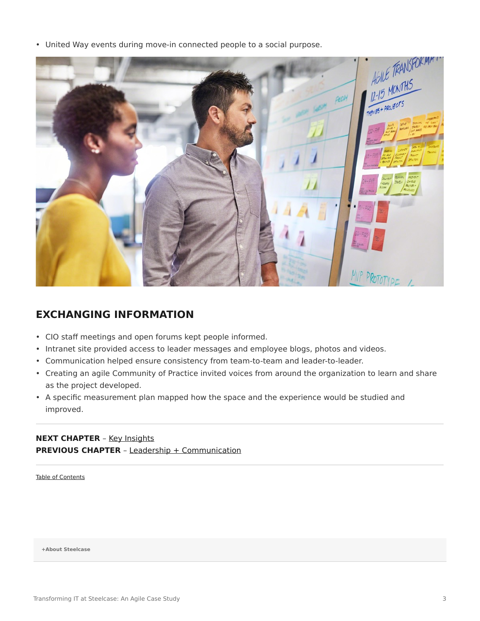• United Way events during move-in connected people to a social purpose.



### **EXCHANGING INFORMATION**

- CIO staff meetings and open forums kept people informed.
- Intranet site provided access to leader messages and employee blogs, photos and videos.
- Communication helped ensure consistency from team-to-team and leader-to-leader.
- Creating an agile Community of Practice invited voices from around the organization to learn and share as the project developed.
- A specific measurement plan mapped how the space and the experience would be studied and improved.

#### **NEXT CHAPTER** - [Key Insights](https://www.steelcase.com/eu-en/research/articles/agile-case-study-key-insights/) **PREVIOUS CHAPTER** - [Leadership + Communication](https://www.steelcase.com/eu-en/research/articles/agile-case-study-leadership-communication/)

[Table of Contents](https://www.steelcase.com/eu-en/research/articles/agile-case-study/)

**[+About Steelcase](https://www.steelcase.com/eu-en/about/steelcase/our-company/)**